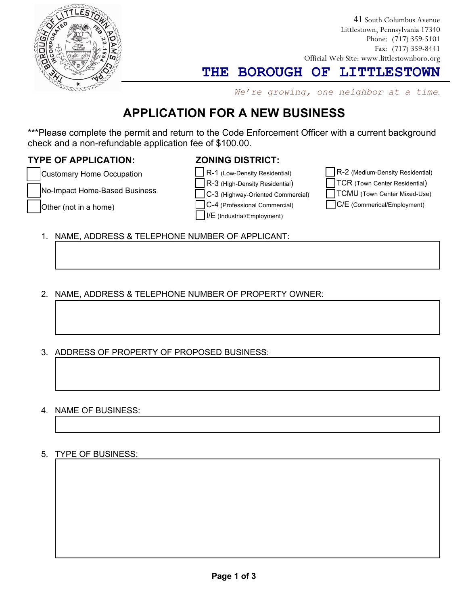

41 South Columbus Avenue Littlestown, Pennsylvania 17340 Phone: (717) 359-5101 Fax: (717) 359-8441 Official Web Site: www.littlestownboro.org

**THE BOROUGH OF LITTLESTOWN**

*We're growing, one neighbor at a time*.

# **APPLICATION FOR A NEW BUSINESS**

\*\*\*Please complete the permit and return to the Code Enforcement Officer with a current background check and a non-refundable application fee of \$100.00.

## **TYPE OF APPLICATION:**

## **ZONING DISTRICT:**

Customary Home Occupation

No-Impact Home-Based Business

Other (not in a home)

R-3 (High-Density Residential) C-3 (Highway-Oriented Commercial) C-4 (Professional Commercial)

R-1 (Low-Density Residential)

I/E (Industrial/Employment)

R-2 (Medium-Density Residential) TCR (Town Center Residential)

TCMU (Town Center Mixed-Use)

C/E (Commerical/Employment)

1. NAME, ADDRESS & TELEPHONE NUMBER OF APPLICANT:

- 2. NAME, ADDRESS & TELEPHONE NUMBER OF PROPERTY OWNER:
- 3. ADDRESS OF PROPERTY OF PROPOSED BUSINESS:
- 4. NAME OF BUSINESS:

### 5. TYPE OF BUSINESS: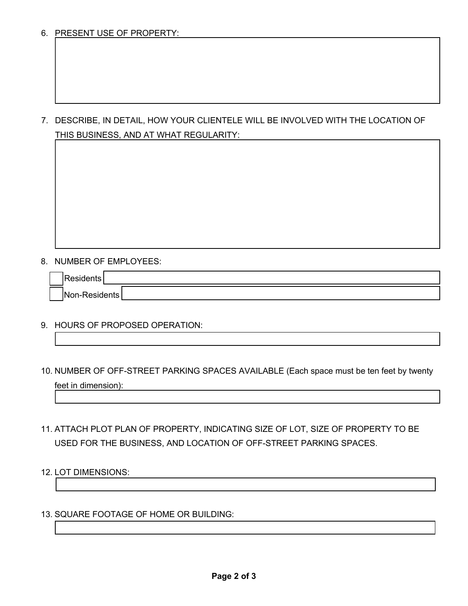6. PRESENT USE OF PROPERTY:

7. DESCRIBE, IN DETAIL, HOW YOUR CLIENTELE WILL BE INVOLVED WITH THE LOCATION OF THIS BUSINESS, AND AT WHAT REGULARITY:

8. NUMBER OF EMPLOYEES:

| $\sim$<br>I٨<br>- 10<br>171<br>. . | טווש |
|------------------------------------|------|

- 9. HOURS OF PROPOSED OPERATION:
- 10. NUMBER OF OFF-STREET PARKING SPACES AVAILABLE (Each space must be ten feet by twenty feet in dimension):
- 11. ATTACH PLOT PLAN OF PROPERTY, INDICATING SIZE OF LOT, SIZE OF PROPERTY TO BE USED FOR THE BUSINESS, AND LOCATION OF OFF-STREET PARKING SPACES.
- 12. LOT DIMENSIONS:
- 13. SQUARE FOOTAGE OF HOME OR BUILDING: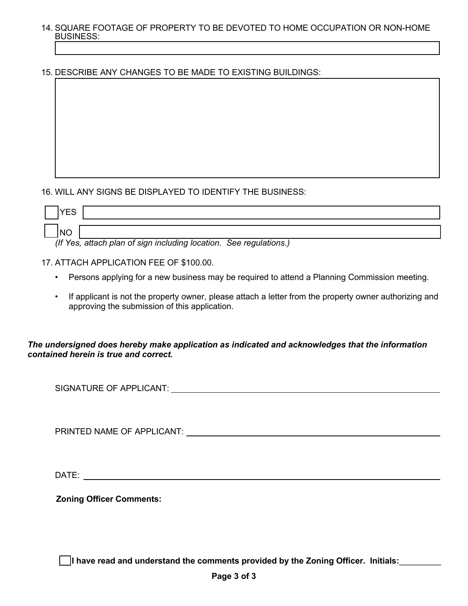- 14. SQUARE FOOTAGE OF PROPERTY TO BE DEVOTED TO HOME OCCUPATION OR NON-HOME BUSINESS:
- 15. DESCRIBE ANY CHANGES TO BE MADE TO EXISTING BUILDINGS:

### 16. WILL ANY SIGNS BE DISPLAYED TO IDENTIFY THE BUSINESS:

| YES |                                                                    |
|-----|--------------------------------------------------------------------|
|     |                                                                    |
| INO |                                                                    |
|     | (If Yes, attach plan of sign including location. See regulations.) |

17. ATTACH APPLICATION FEE OF \$100.00.

- Persons applying for a new business may be required to attend a Planning Commission meeting.
- If applicant is not the property owner, please attach a letter from the property owner authorizing and approving the submission of this application.

#### *The undersigned does hereby make application as indicated and acknowledges that the information contained herein is true and correct.*

SIGNATURE OF APPLICANT:

PRINTED NAME OF APPLICANT: \_\_\_\_

DATE:

**Zoning Officer Comments:**

**I have read and understand the comments provided by the Zoning Officer. Initials:**\_\_\_\_\_\_\_\_\_